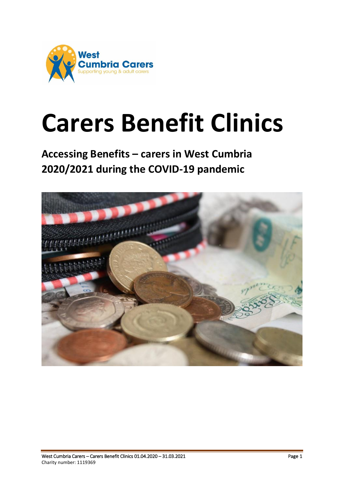

# **Carers Benefit Clinics**

**Accessing Benefits – carers in West Cumbria 2020/2021 during the COVID-19 pandemic**

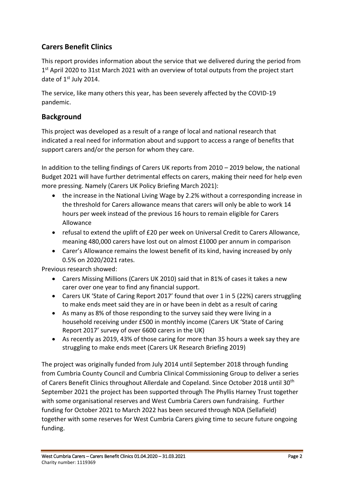# **Carers Benefit Clinics**

This report provides information about the service that we delivered during the period from 1<sup>st</sup> April 2020 to 31st March 2021 with an overview of total outputs from the project start date of 1st July 2014.

The service, like many others this year, has been severely affected by the COVID-19 pandemic.

# **Background**

This project was developed as a result of a range of local and national research that indicated a real need for information about and support to access a range of benefits that support carers and/or the person for whom they care.

In addition to the telling findings of Carers UK reports from 2010 – 2019 below, the national Budget 2021 will have further detrimental effects on carers, making their need for help even more pressing. Namely (Carers UK Policy Briefing March 2021):

- the increase in the National Living Wage by 2.2% without a corresponding increase in the threshold for Carers allowance means that carers will only be able to work 14 hours per week instead of the previous 16 hours to remain eligible for Carers Allowance
- refusal to extend the uplift of £20 per week on Universal Credit to Carers Allowance, meaning 480,000 carers have lost out on almost £1000 per annum in comparison
- Carer's Allowance remains the lowest benefit of its kind, having increased by only 0.5% on 2020/2021 rates.

Previous research showed:

- Carers Missing Millions (Carers UK 2010) said that in 81% of cases it takes a new carer over one year to find any financial support.
- Carers UK 'State of Caring Report 2017' found that over 1 in 5 (22%) carers struggling to make ends meet said they are in or have been in debt as a result of caring
- As many as 8% of those responding to the survey said they were living in a household receiving under £500 in monthly income (Carers UK 'State of Caring Report 2017' survey of over 6600 carers in the UK)
- As recently as 2019, 43% of those caring for more than 35 hours a week say they are struggling to make ends meet (Carers UK Research Briefing 2019)

The project was originally funded from July 2014 until September 2018 through funding from Cumbria County Council and Cumbria Clinical Commissioning Group to deliver a series of Carers Benefit Clinics throughout Allerdale and Copeland. Since October 2018 until 30<sup>th</sup> September 2021 the project has been supported through The Phyllis Harney Trust together with some organisational reserves and West Cumbria Carers own fundraising. Further funding for October 2021 to March 2022 has been secured through NDA (Sellafield) together with some reserves for West Cumbria Carers giving time to secure future ongoing funding.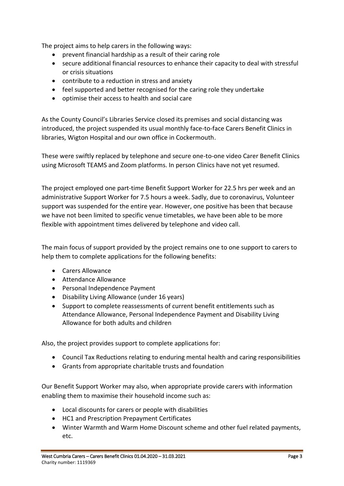The project aims to help carers in the following ways:

- prevent financial hardship as a result of their caring role
- secure additional financial resources to enhance their capacity to deal with stressful or crisis situations
- contribute to a reduction in stress and anxiety
- feel supported and better recognised for the caring role they undertake
- optimise their access to health and social care

As the County Council's Libraries Service closed its premises and social distancing was introduced, the project suspended its usual monthly face-to-face Carers Benefit Clinics in libraries, Wigton Hospital and our own office in Cockermouth.

These were swiftly replaced by telephone and secure one-to-one video Carer Benefit Clinics using Microsoft TEAMS and Zoom platforms. In person Clinics have not yet resumed.

The project employed one part-time Benefit Support Worker for 22.5 hrs per week and an administrative Support Worker for 7.5 hours a week. Sadly, due to coronavirus, Volunteer support was suspended for the entire year. However, one positive has been that because we have not been limited to specific venue timetables, we have been able to be more flexible with appointment times delivered by telephone and video call.

The main focus of support provided by the project remains one to one support to carers to help them to complete applications for the following benefits:

- Carers Allowance
- Attendance Allowance
- Personal Independence Payment
- Disability Living Allowance (under 16 years)
- Support to complete reassessments of current benefit entitlements such as Attendance Allowance, Personal Independence Payment and Disability Living Allowance for both adults and children

Also, the project provides support to complete applications for:

- Council Tax Reductions relating to enduring mental health and caring responsibilities
- Grants from appropriate charitable trusts and foundation

Our Benefit Support Worker may also, when appropriate provide carers with information enabling them to maximise their household income such as:

- Local discounts for carers or people with disabilities
- HC1 and Prescription Prepayment Certificates
- Winter Warmth and Warm Home Discount scheme and other fuel related payments, etc.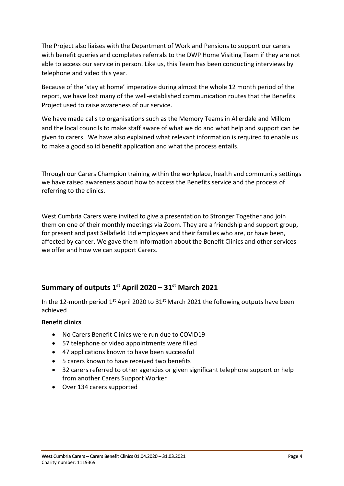The Project also liaises with the Department of Work and Pensions to support our carers with benefit queries and completes referrals to the DWP Home Visiting Team if they are not able to access our service in person. Like us, this Team has been conducting interviews by telephone and video this year.

Because of the 'stay at home' imperative during almost the whole 12 month period of the report, we have lost many of the well-established communication routes that the Benefits Project used to raise awareness of our service.

We have made calls to organisations such as the Memory Teams in Allerdale and Millom and the local councils to make staff aware of what we do and what help and support can be given to carers. We have also explained what relevant information is required to enable us to make a good solid benefit application and what the process entails.

Through our Carers Champion training within the workplace, health and community settings we have raised awareness about how to access the Benefits service and the process of referring to the clinics.

West Cumbria Carers were invited to give a presentation to Stronger Together and join them on one of their monthly meetings via Zoom. They are a friendship and support group, for present and past Sellafield Ltd employees and their families who are, or have been, affected by cancer. We gave them information about the Benefit Clinics and other services we offer and how we can support Carers.

# **Summary of outputs 1st April 2020 – 31 st March 2021**

In the 12-month period  $1<sup>st</sup>$  April 2020 to 31<sup>st</sup> March 2021 the following outputs have been achieved

## **Benefit clinics**

- No Carers Benefit Clinics were run due to COVID19
- 57 telephone or video appointments were filled
- 47 applications known to have been successful
- 5 carers known to have received two benefits
- 32 carers referred to other agencies or given significant telephone support or help from another Carers Support Worker
- Over 134 carers supported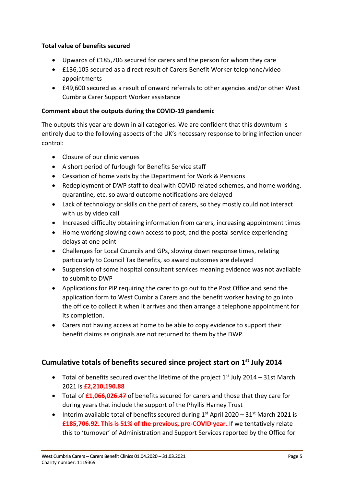## **Total value of benefits secured**

- Upwards of £185,706 secured for carers and the person for whom they care
- £136,105 secured as a direct result of Carers Benefit Worker telephone/video appointments
- £49,600 secured as a result of onward referrals to other agencies and/or other West Cumbria Carer Support Worker assistance

#### **Comment about the outputs during the COVID-19 pandemic**

The outputs this year are down in all categories. We are confident that this downturn is entirely due to the following aspects of the UK's necessary response to bring infection under control:

- Closure of our clinic venues
- A short period of furlough for Benefits Service staff
- Cessation of home visits by the Department for Work & Pensions
- Redeployment of DWP staff to deal with COVID related schemes, and home working, quarantine, etc. so award outcome notifications are delayed
- Lack of technology or skills on the part of carers, so they mostly could not interact with us by video call
- Increased difficulty obtaining information from carers, increasing appointment times
- Home working slowing down access to post, and the postal service experiencing delays at one point
- Challenges for Local Councils and GPs, slowing down response times, relating particularly to Council Tax Benefits, so award outcomes are delayed
- Suspension of some hospital consultant services meaning evidence was not available to submit to DWP
- Applications for PIP requiring the carer to go out to the Post Office and send the application form to West Cumbria Carers and the benefit worker having to go into the office to collect it when it arrives and then arrange a telephone appointment for its completion.
- Carers not having access at home to be able to copy evidence to support their benefit claims as originals are not returned to them by the DWP.

# **Cumulative totals of benefits secured since project start on 1 st July 2014**

- Total of benefits secured over the lifetime of the project  $1<sup>st</sup>$  July 2014 31st March 2021 is **£2,210,190.88**
- Total of **£1,066,026.47** of benefits secured for carers and those that they care for during years that include the support of the Phyllis Harney Trust
- Interim available total of benefits secured during  $1<sup>st</sup>$  April 2020 31 $<sup>st</sup>$  March 2021 is</sup> **£185,706.92. This is 51% of the previous, pre-COVID year.** If we tentatively relate this to 'turnover' of Administration and Support Services reported by the Office for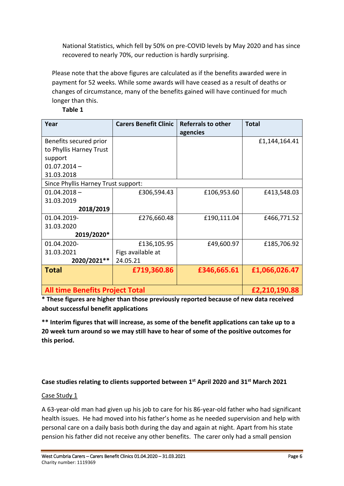National Statistics, which fell by 50% on pre-COVID levels by May 2020 and has since recovered to nearly 70%, our reduction is hardly surprising.

Please note that the above figures are calculated as if the benefits awarded were in payment for 52 weeks. While some awards will have ceased as a result of deaths or changes of circumstance, many of the benefits gained will have continued for much longer than this.

| Year                                   | <b>Carers Benefit Clinic</b> | <b>Referrals to other</b> | <b>Total</b>  |
|----------------------------------------|------------------------------|---------------------------|---------------|
|                                        |                              | agencies                  |               |
| Benefits secured prior                 |                              |                           | £1,144,164.41 |
| to Phyllis Harney Trust                |                              |                           |               |
| support                                |                              |                           |               |
| $01.07.2014 -$                         |                              |                           |               |
| 31.03.2018                             |                              |                           |               |
| Since Phyllis Harney Trust support:    |                              |                           |               |
| $01.04.2018 -$                         | £306,594.43                  | £106,953.60               | £413,548.03   |
| 31.03.2019                             |                              |                           |               |
| 2018/2019                              |                              |                           |               |
| 01.04.2019-                            | £276,660.48                  | £190,111.04               | £466,771.52   |
| 31.03.2020                             |                              |                           |               |
| 2019/2020*                             |                              |                           |               |
| 01.04.2020-                            | £136,105.95                  | £49,600.97                | £185,706.92   |
| 31.03.2021                             | Figs available at            |                           |               |
| 2020/2021**                            | 24.05.21                     |                           |               |
| <b>Total</b>                           | £719,360.86                  | £346,665.61               | £1,066,026.47 |
|                                        |                              |                           |               |
| <b>All time Benefits Project Total</b> |                              |                           | £2,210,190.88 |

**\* These figures are higher than those previously reported because of new data received about successful benefit applications**

**\*\* Interim figures that will increase, as some of the benefit applications can take up to a 20 week turn around so we may still have to hear of some of the positive outcomes for this period.**

# **Case studies relating to clients supported between 1 st April 2020 and 31 st March 2021**

## Case Study 1

A 63-year-old man had given up his job to care for his 86-year-old father who had significant health issues. He had moved into his father's home as he needed supervision and help with personal care on a daily basis both during the day and again at night. Apart from his state pension his father did not receive any other benefits. The carer only had a small pension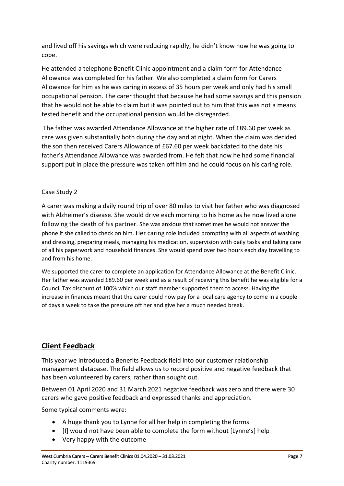and lived off his savings which were reducing rapidly, he didn't know how he was going to cope.

He attended a telephone Benefit Clinic appointment and a claim form for Attendance Allowance was completed for his father. We also completed a claim form for Carers Allowance for him as he was caring in excess of 35 hours per week and only had his small occupational pension. The carer thought that because he had some savings and this pension that he would not be able to claim but it was pointed out to him that this was not a means tested benefit and the occupational pension would be disregarded.

The father was awarded Attendance Allowance at the higher rate of £89.60 per week as care was given substantially both during the day and at night. When the claim was decided the son then received Carers Allowance of £67.60 per week backdated to the date his father's Attendance Allowance was awarded from. He felt that now he had some financial support put in place the pressure was taken off him and he could focus on his caring role.

# Case Study 2

A carer was making a daily round trip of over 80 miles to visit her father who was diagnosed with Alzheimer's disease. She would drive each morning to his home as he now lived alone following the death of his partner. She was anxious that sometimes he would not answer the phone if she called to check on him. Her caring role included prompting with all aspects of washing and dressing, preparing meals, managing his medication, supervision with daily tasks and taking care of all his paperwork and household finances. She would spend over two hours each day travelling to and from his home.

We supported the carer to complete an application for Attendance Allowance at the Benefit Clinic. Her father was awarded £89.60 per week and as a result of receiving this benefit he was eligible for a Council Tax discount of 100% which our staff member supported them to access. Having the increase in finances meant that the carer could now pay for a local care agency to come in a couple of days a week to take the pressure off her and give her a much needed break.

# **Client Feedback**

This year we introduced a Benefits Feedback field into our customer relationship management database. The field allows us to record positive and negative feedback that has been volunteered by carers, rather than sought out.

Between 01 April 2020 and 31 March 2021 negative feedback was zero and there were 30 carers who gave positive feedback and expressed thanks and appreciation.

Some typical comments were:

- A huge thank you to Lynne for all her help in completing the forms
- [I] would not have been able to complete the form without [Lynne's] help
- Very happy with the outcome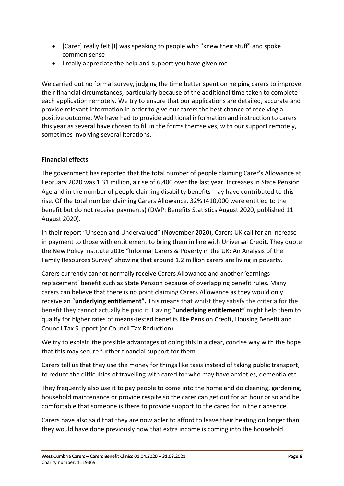- [Carer] really felt [I] was speaking to people who "knew their stuff" and spoke common sense
- I really appreciate the help and support you have given me

We carried out no formal survey, judging the time better spent on helping carers to improve their financial circumstances, particularly because of the additional time taken to complete each application remotely. We try to ensure that our applications are detailed, accurate and provide relevant information in order to give our carers the best chance of receiving a positive outcome. We have had to provide additional information and instruction to carers this year as several have chosen to fill in the forms themselves, with our support remotely, sometimes involving several iterations.

## **Financial effects**

The government has reported that the total number of people claiming Carer's Allowance at February 2020 was 1.31 million, a rise of 6,400 over the last year. Increases in State Pension Age and in the number of people claiming disability benefits may have contributed to this rise. Of the total number claiming Carers Allowance, 32% (410,000 were entitled to the benefit but do not receive payments) (DWP: Benefits Statistics August 2020, published 11 August 2020).

In their report "Unseen and Undervalued" (November 2020), Carers UK call for an increase in payment to those with entitlement to bring them in line with Universal Credit. They quote the New Policy Institute 2016 "Informal Carers & Poverty in the UK: An Analysis of the Family Resources Survey" showing that around 1.2 million carers are living in poverty.

Carers currently cannot normally receive Carers Allowance and another 'earnings replacement' benefit such as State Pension because of overlapping benefit rules. Many carers can believe that there is no point claiming Carers Allowance as they would only receive an "**underlying entitlement".** This means that whilst they satisfy the criteria for the benefit they cannot actually be paid it. Having "**underlying entitlement"** might help them to qualify for higher rates of means-tested benefits like Pension Credit, Housing Benefit and Council Tax Support (or Council Tax Reduction).

We try to explain the possible advantages of doing this in a clear, concise way with the hope that this may secure further financial support for them.

Carers tell us that they use the money for things like taxis instead of taking public transport, to reduce the difficulties of travelling with cared for who may have anxieties, dementia etc.

They frequently also use it to pay people to come into the home and do cleaning, gardening, household maintenance or provide respite so the carer can get out for an hour or so and be comfortable that someone is there to provide support to the cared for in their absence.

Carers have also said that they are now abler to afford to leave their heating on longer than they would have done previously now that extra income is coming into the household.